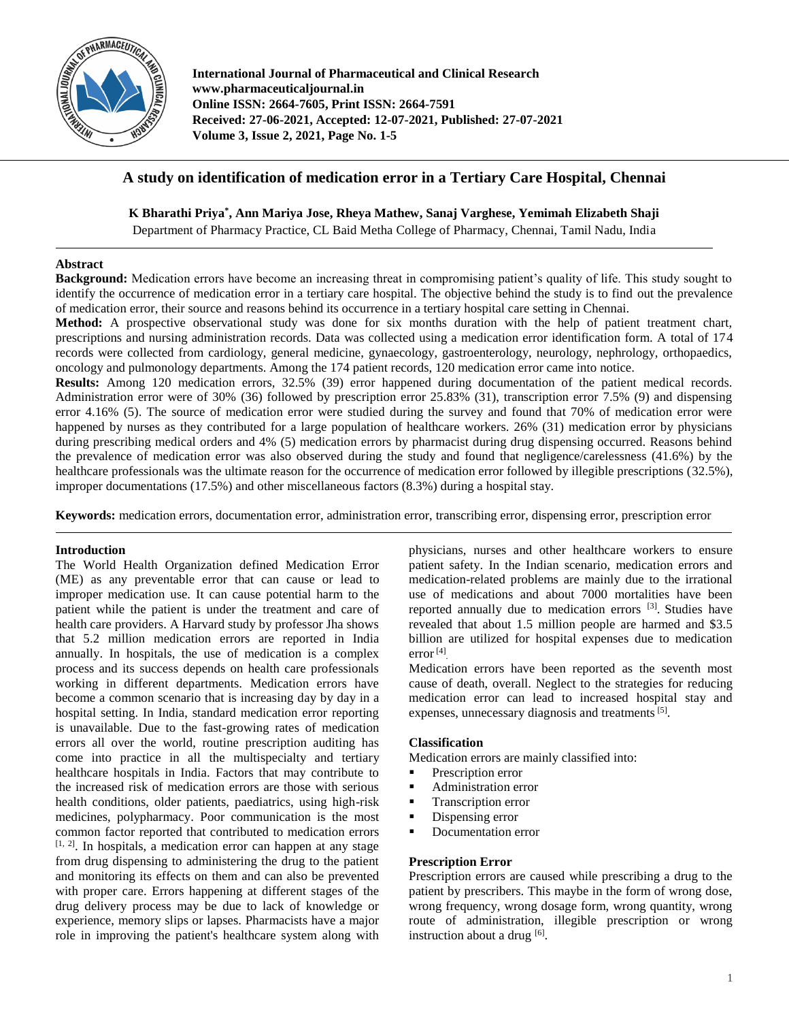

**International Journal of Pharmaceutical and Clinical Research www.pharmaceuticaljournal.in Online ISSN: 2664-7605, Print ISSN: 2664-7591 Received: 27-06-2021, Accepted: 12-07-2021, Published: 27-07-2021 Volume 3, Issue 2, 2021, Page No. 1-5**

# **A study on identification of medication error in a Tertiary Care Hospital, Chennai**

**K Bharathi Priya\* , Ann Mariya Jose, Rheya Mathew, Sanaj Varghese, Yemimah Elizabeth Shaji**

Department of Pharmacy Practice, CL Baid Metha College of Pharmacy, Chennai, Tamil Nadu, India

# **Abstract**

**Background:** Medication errors have become an increasing threat in compromising patient's quality of life. This study sought to identify the occurrence of medication error in a tertiary care hospital. The objective behind the study is to find out the prevalence of medication error, their source and reasons behind its occurrence in a tertiary hospital care setting in Chennai.

**Method:** A prospective observational study was done for six months duration with the help of patient treatment chart, prescriptions and nursing administration records. Data was collected using a medication error identification form. A total of 174 records were collected from cardiology, general medicine, gynaecology, gastroenterology, neurology, nephrology, orthopaedics, oncology and pulmonology departments. Among the 174 patient records, 120 medication error came into notice.

**Results:** Among 120 medication errors, 32.5% (39) error happened during documentation of the patient medical records. Administration error were of 30% (36) followed by prescription error 25.83% (31), transcription error 7.5% (9) and dispensing error 4.16% (5). The source of medication error were studied during the survey and found that 70% of medication error were happened by nurses as they contributed for a large population of healthcare workers. 26% (31) medication error by physicians during prescribing medical orders and 4% (5) medication errors by pharmacist during drug dispensing occurred. Reasons behind the prevalence of medication error was also observed during the study and found that negligence/carelessness (41.6%) by the healthcare professionals was the ultimate reason for the occurrence of medication error followed by illegible prescriptions (32.5%), improper documentations (17.5%) and other miscellaneous factors (8.3%) during a hospital stay.

**Keywords:** medication errors, documentation error, administration error, transcribing error, dispensing error, prescription error

#### **Introduction**

The World Health Organization defined Medication Error (ME) as any preventable error that can cause or lead to improper medication use. It can cause potential harm to the patient while the patient is under the treatment and care of health care providers. A Harvard study by professor Jha shows that 5.2 million medication errors are reported in India annually. In hospitals, the use of medication is a complex process and its success depends on health care professionals working in different departments. Medication errors have become a common scenario that is increasing day by day in a hospital setting. In India, standard medication error reporting is unavailable. Due to the fast-growing rates of medication errors all over the world, routine prescription auditing has come into practice in all the multispecialty and tertiary healthcare hospitals in India. Factors that may contribute to the increased risk of medication errors are those with serious health conditions, older patients, paediatrics, using high-risk medicines, polypharmacy. Poor communication is the most common factor reported that contributed to medication errors [1, 2]. In hospitals, a medication error can happen at any stage from drug dispensing to administering the drug to the patient and monitoring its effects on them and can also be prevented with proper care. Errors happening at different stages of the drug delivery process may be due to lack of knowledge or experience, memory slips or lapses. Pharmacists have a major role in improving the patient's healthcare system along with

physicians, nurses and other healthcare workers to ensure patient safety. In the Indian scenario, medication errors and medication-related problems are mainly due to the irrational use of medications and about 7000 mortalities have been reported annually due to medication errors <sup>[3]</sup>. Studies have revealed that about 1.5 million people are harmed and \$3.5 billion are utilized for hospital expenses due to medication error<sup>[4]</sup>.

Medication errors have been reported as the seventh most cause of death, overall. Neglect to the strategies for reducing medication error can lead to increased hospital stay and expenses, unnecessary diagnosis and treatments<sup>[5]</sup>.

#### **Classification**

Medication errors are mainly classified into:

- **Prescription error**
- Administration error
- Transcription error
- **Dispensing error**
- Documentation error

#### **Prescription Error**

Prescription errors are caused while prescribing a drug to the patient by prescribers. This maybe in the form of wrong dose, wrong frequency, wrong dosage form, wrong quantity, wrong route of administration, illegible prescription or wrong instruction about a drug [6].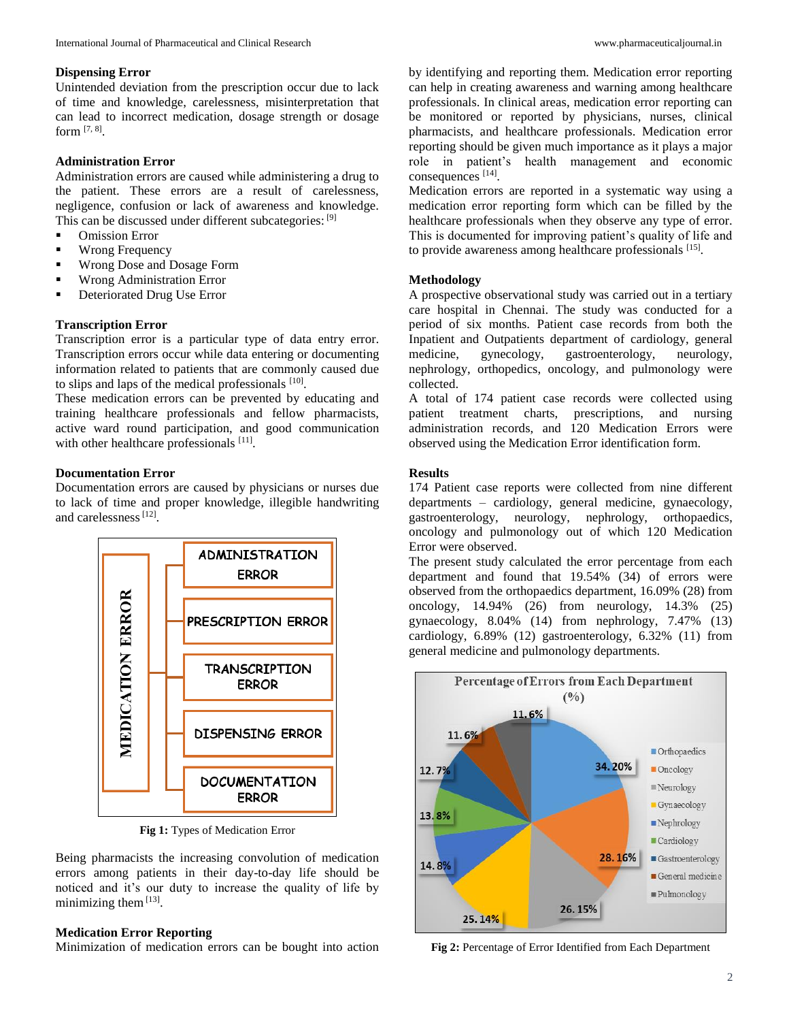#### **Dispensing Error**

Unintended deviation from the prescription occur due to lack of time and knowledge, carelessness, misinterpretation that can lead to incorrect medication, dosage strength or dosage form [7, 8] .

### **Administration Error**

Administration errors are caused while administering a drug to the patient. These errors are a result of carelessness, negligence, confusion or lack of awareness and knowledge. This can be discussed under different subcategories: [9]

- Omission Error
- **Wrong Frequency**
- **Wrong Dose and Dosage Form**
- **Wrong Administration Error**
- **Deteriorated Drug Use Error**

#### **Transcription Error**

Transcription error is a particular type of data entry error. Transcription errors occur while data entering or documenting information related to patients that are commonly caused due to slips and laps of the medical professionals  $[10]$ .

These medication errors can be prevented by educating and training healthcare professionals and fellow pharmacists, active ward round participation, and good communication with other healthcare professionals [11].

# **Documentation Error**

Documentation errors are caused by physicians or nurses due to lack of time and proper knowledge, illegible handwriting and carelessness<sup>[12]</sup>.



**Fig 1:** Types of Medication Error

Being pharmacists the increasing convolution of medication errors among patients in their day-to-day life should be noticed and it's our duty to increase the quality of life by minimizing them [13].

#### **Medication Error Reporting**

Minimization of medication errors can be bought into action

by identifying and reporting them. Medication error reporting can help in creating awareness and warning among healthcare professionals. In clinical areas, medication error reporting can be monitored or reported by physicians, nurses, clinical pharmacists, and healthcare professionals. Medication error reporting should be given much importance as it plays a major role in patient's health management and economic consequences [14] .

Medication errors are reported in a systematic way using a medication error reporting form which can be filled by the healthcare professionals when they observe any type of error. This is documented for improving patient's quality of life and to provide awareness among healthcare professionals [15].

# **Methodology**

A prospective observational study was carried out in a tertiary care hospital in Chennai. The study was conducted for a period of six months. Patient case records from both the Inpatient and Outpatients department of cardiology, general medicine, gynecology, gastroenterology, neurology, nephrology, orthopedics, oncology, and pulmonology were collected.

A total of 174 patient case records were collected using patient treatment charts, prescriptions, and nursing administration records, and 120 Medication Errors were observed using the Medication Error identification form.

#### **Results**

174 Patient case reports were collected from nine different departments – cardiology, general medicine, gynaecology, gastroenterology, neurology, nephrology, orthopaedics, oncology and pulmonology out of which 120 Medication Error were observed.

The present study calculated the error percentage from each department and found that 19.54% (34) of errors were observed from the orthopaedics department, 16.09% (28) from oncology, 14.94% (26) from neurology, 14.3% (25) gynaecology, 8.04% (14) from nephrology, 7.47% (13) cardiology, 6.89% (12) gastroenterology, 6.32% (11) from general medicine and pulmonology departments.



**Fig 2:** Percentage of Error Identified from Each Department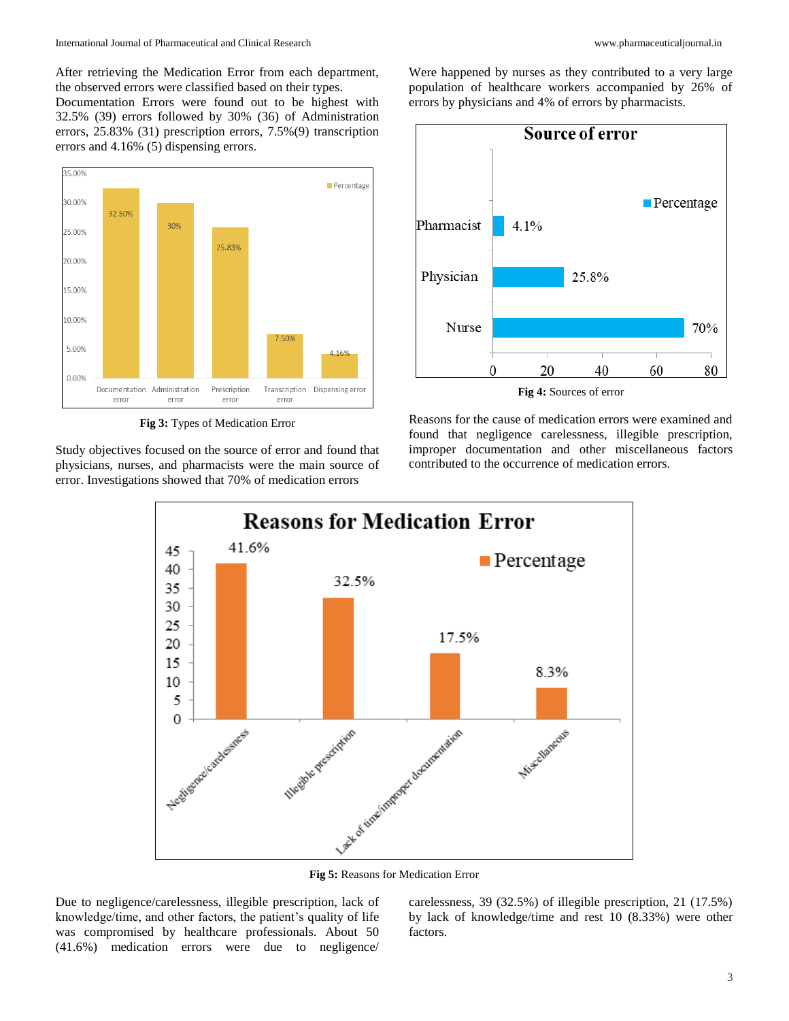After retrieving the Medication Error from each department, the observed errors were classified based on their types.

Documentation Errors were found out to be highest with 32.5% (39) errors followed by 30% (36) of Administration errors, 25.83% (31) prescription errors, 7.5%(9) transcription errors and 4.16% (5) dispensing errors.



**Fig 3:** Types of Medication Error

Study objectives focused on the source of error and found that physicians, nurses, and pharmacists were the main source of error. Investigations showed that 70% of medication errors

Were happened by nurses as they contributed to a very large population of healthcare workers accompanied by 26% of errors by physicians and 4% of errors by pharmacists.



Reasons for the cause of medication errors were examined and found that negligence carelessness, illegible prescription, improper documentation and other miscellaneous factors contributed to the occurrence of medication errors.



**Fig 5:** Reasons for Medication Error

Due to negligence/carelessness, illegible prescription, lack of knowledge/time, and other factors, the patient's quality of life was compromised by healthcare professionals. About 50 (41.6%) medication errors were due to negligence/

carelessness, 39 (32.5%) of illegible prescription, 21 (17.5%) by lack of knowledge/time and rest 10 (8.33%) were other factors.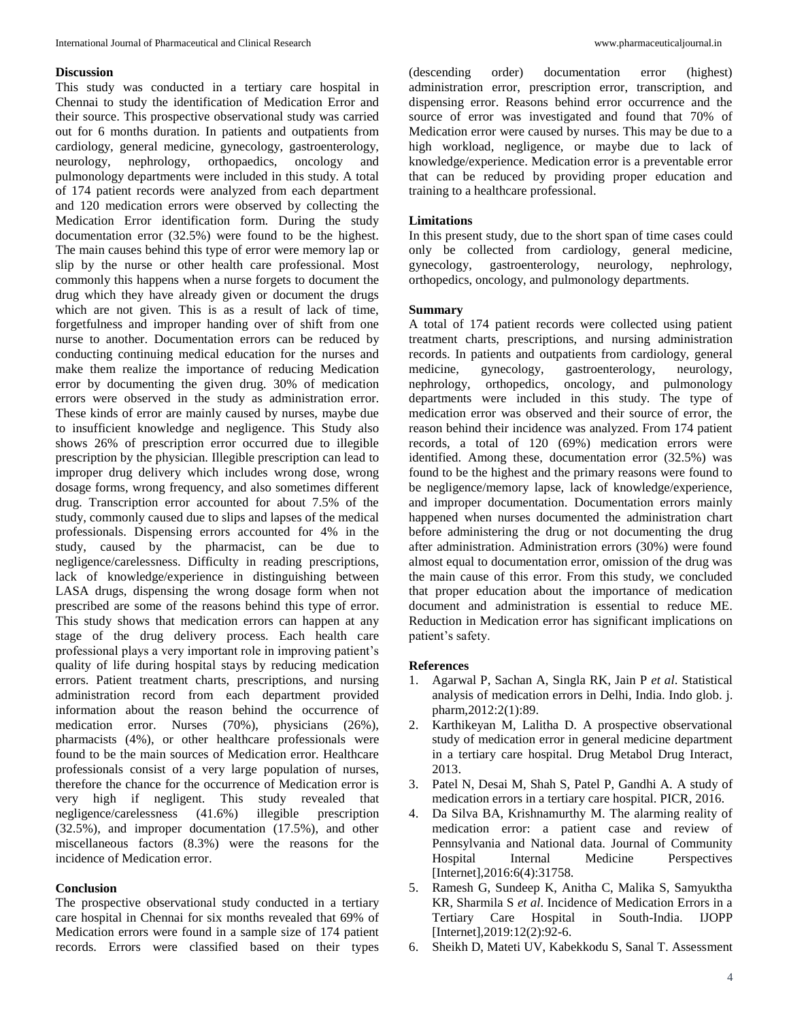# **Discussion**

This study was conducted in a tertiary care hospital in Chennai to study the identification of Medication Error and their source. This prospective observational study was carried out for 6 months duration. In patients and outpatients from cardiology, general medicine, gynecology, gastroenterology, neurology, nephrology, orthopaedics, oncology and pulmonology departments were included in this study. A total of 174 patient records were analyzed from each department and 120 medication errors were observed by collecting the Medication Error identification form. During the study documentation error (32.5%) were found to be the highest. The main causes behind this type of error were memory lap or slip by the nurse or other health care professional. Most commonly this happens when a nurse forgets to document the drug which they have already given or document the drugs which are not given. This is as a result of lack of time, forgetfulness and improper handing over of shift from one nurse to another. Documentation errors can be reduced by conducting continuing medical education for the nurses and make them realize the importance of reducing Medication error by documenting the given drug. 30% of medication errors were observed in the study as administration error. These kinds of error are mainly caused by nurses, maybe due to insufficient knowledge and negligence. This Study also shows 26% of prescription error occurred due to illegible prescription by the physician. Illegible prescription can lead to improper drug delivery which includes wrong dose, wrong dosage forms, wrong frequency, and also sometimes different drug. Transcription error accounted for about 7.5% of the study, commonly caused due to slips and lapses of the medical professionals. Dispensing errors accounted for 4% in the study, caused by the pharmacist, can be due to negligence/carelessness. Difficulty in reading prescriptions, lack of knowledge/experience in distinguishing between LASA drugs, dispensing the wrong dosage form when not prescribed are some of the reasons behind this type of error. This study shows that medication errors can happen at any stage of the drug delivery process. Each health care professional plays a very important role in improving patient's quality of life during hospital stays by reducing medication errors. Patient treatment charts, prescriptions, and nursing administration record from each department provided information about the reason behind the occurrence of medication error. Nurses (70%), physicians (26%), pharmacists (4%), or other healthcare professionals were found to be the main sources of Medication error. Healthcare professionals consist of a very large population of nurses, therefore the chance for the occurrence of Medication error is very high if negligent. This study revealed that negligence/carelessness (41.6%) illegible prescription (32.5%), and improper documentation (17.5%), and other miscellaneous factors (8.3%) were the reasons for the incidence of Medication error.

#### **Conclusion**

The prospective observational study conducted in a tertiary care hospital in Chennai for six months revealed that 69% of Medication errors were found in a sample size of 174 patient records. Errors were classified based on their types

(descending order) documentation error (highest) administration error, prescription error, transcription, and dispensing error. Reasons behind error occurrence and the source of error was investigated and found that 70% of Medication error were caused by nurses. This may be due to a high workload, negligence, or maybe due to lack of knowledge/experience. Medication error is a preventable error that can be reduced by providing proper education and training to a healthcare professional.

#### **Limitations**

In this present study, due to the short span of time cases could only be collected from cardiology, general medicine, gynecology, gastroenterology, neurology, nephrology, orthopedics, oncology, and pulmonology departments.

#### **Summary**

A total of 174 patient records were collected using patient treatment charts, prescriptions, and nursing administration records. In patients and outpatients from cardiology, general medicine, gynecology, gastroenterology, neurology, nephrology, orthopedics, oncology, and pulmonology departments were included in this study. The type of medication error was observed and their source of error, the reason behind their incidence was analyzed. From 174 patient records, a total of 120 (69%) medication errors were identified. Among these, documentation error (32.5%) was found to be the highest and the primary reasons were found to be negligence/memory lapse, lack of knowledge/experience, and improper documentation. Documentation errors mainly happened when nurses documented the administration chart before administering the drug or not documenting the drug after administration. Administration errors (30%) were found almost equal to documentation error, omission of the drug was the main cause of this error. From this study, we concluded that proper education about the importance of medication document and administration is essential to reduce ME. Reduction in Medication error has significant implications on patient's safety.

#### **References**

- 1. Agarwal P, Sachan A, Singla RK, Jain P *et al*. Statistical analysis of medication errors in Delhi, India. Indo glob. j. pharm,2012:2(1):89.
- 2. Karthikeyan M, Lalitha D. A prospective observational study of medication error in general medicine department in a tertiary care hospital. Drug Metabol Drug Interact, 2013.
- 3. Patel N, Desai M, Shah S, Patel P, Gandhi A. A study of medication errors in a tertiary care hospital. PICR, 2016.
- 4. Da Silva BA, Krishnamurthy M. The alarming reality of medication error: a patient case and review of Pennsylvania and National data. Journal of Community Hospital Internal Medicine Perspectives [Internet], 2016: 6(4): 31758.
- 5. Ramesh G, Sundeep K, Anitha C, Malika S, Samyuktha KR, Sharmila S *et al*. Incidence of Medication Errors in a Tertiary Care Hospital in South-India. IJOPP [Internet], 2019:12(2): 92-6.
- 6. Sheikh D, Mateti UV, Kabekkodu S, Sanal T. Assessment